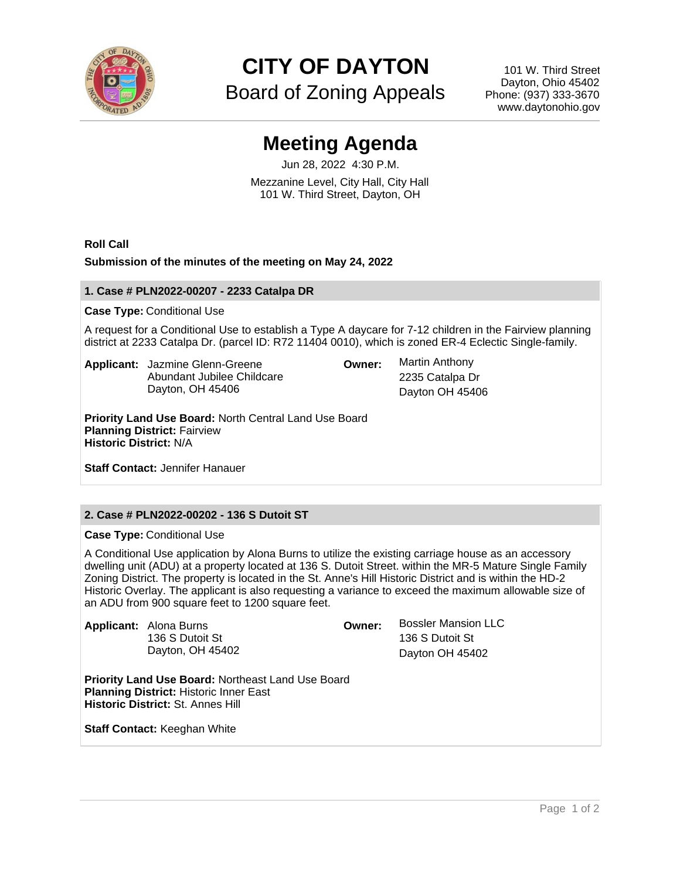

**CITY OF DAYTON**

Board of Zoning Appeals

101 W. Third Street Dayton, Ohio 45402 Phone: (937) 333-3670 www.daytonohio.gov

# **Meeting Agenda**

Jun 28, 2022 4:30 P.M. Mezzanine Level, City Hall, City Hall 101 W. Third Street, Dayton, OH

**Roll Call**

## **Submission of the minutes of the meeting on May 24, 2022**

## **1. Case # PLN2022-00207 - 2233 Catalpa DR**

## **Case Type:** Conditional Use

A request for a Conditional Use to establish a Type A daycare for 7-12 children in the Fairview planning district at 2233 Catalpa Dr. (parcel ID: R72 11404 0010), which is zoned ER-4 Eclectic Single-family.

**Applicant:** Jazmine Glenn-Greene Abundant Jubilee Childcare Dayton, OH 45406

**Owner:** Martin Anthony

2235 Catalpa Dr Dayton OH 45406

**Priority Land Use Board:** North Central Land Use Board **Planning District:** Fairview **Historic District:** N/A

**Staff Contact:** Jennifer Hanauer

# **2. Case # PLN2022-00202 - 136 S Dutoit ST**

**Case Type:** Conditional Use

A Conditional Use application by Alona Burns to utilize the existing carriage house as an accessory dwelling unit (ADU) at a property located at 136 S. Dutoit Street. within the MR-5 Mature Single Family Zoning District. The property is located in the St. Anne's Hill Historic District and is within the HD-2 Historic Overlay. The applicant is also requesting a variance to exceed the maximum allowable size of an ADU from 900 square feet to 1200 square feet.

|  | <b>Applicant:</b> Alona Burns | Owner: | <b>Bossler Mansion LLC</b> |
|--|-------------------------------|--------|----------------------------|
|  | 136 S Dutoit St               |        | 136 S Dutoit St            |
|  | Dayton, OH 45402              |        | Dayton OH 45402            |
|  |                               |        |                            |

**Priority Land Use Board:** Northeast Land Use Board **Planning District:** Historic Inner East **Historic District:** St. Annes Hill

**Staff Contact: Keeghan White**